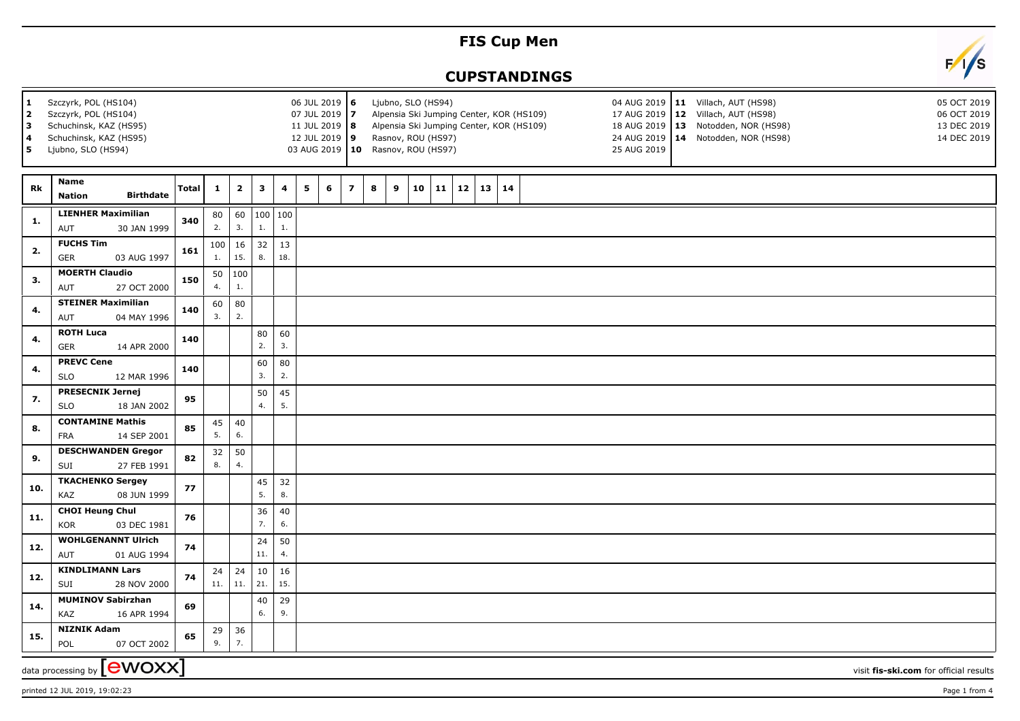## **FIS Cup Men**

## **CUPSTANDINGS**



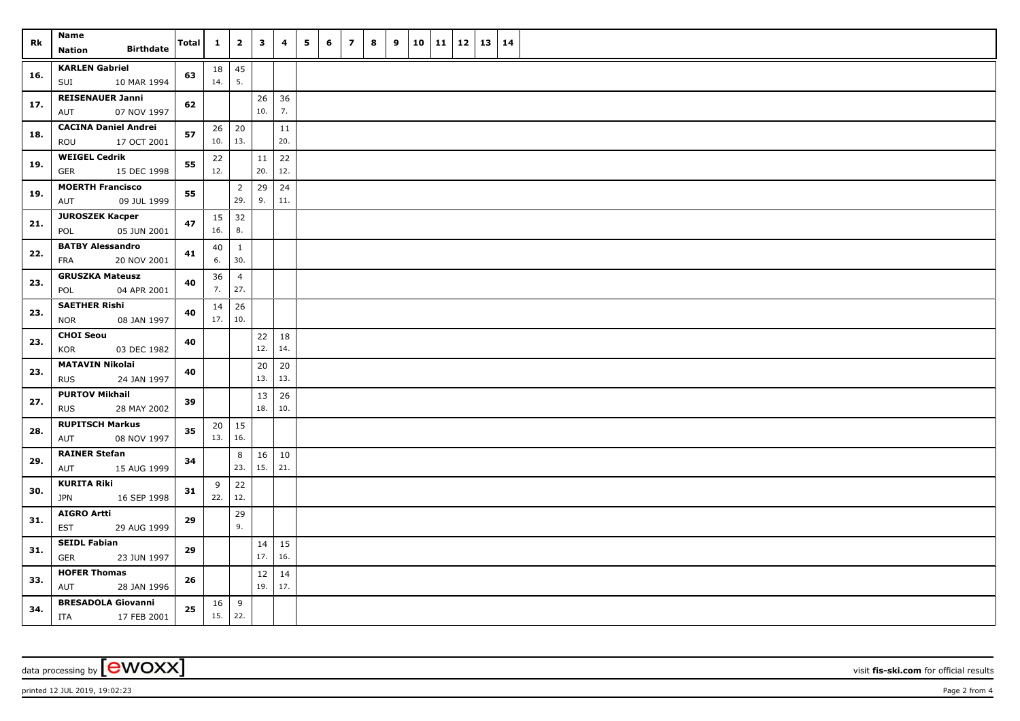| Rk  | Name<br><b>Birthdate</b><br><b>Nation</b>           | <b>Total</b> | $\mathbf{1}$             | $\overline{2}$        | $\mathbf{3}$ | $\overline{\mathbf{4}}$ | 5 | 6 | $\overline{z}$ | 8 | 9 | 10 | 11 | 12 | $13 \mid 14$ |  |
|-----|-----------------------------------------------------|--------------|--------------------------|-----------------------|--------------|-------------------------|---|---|----------------|---|---|----|----|----|--------------|--|
| 16. | <b>KARLEN Gabriel</b><br>10 MAR 1994<br>SUI         | 63           | 18<br>14.                | 45<br>5.              |              |                         |   |   |                |   |   |    |    |    |              |  |
| 17. | <b>REISENAUER Janni</b><br>07 NOV 1997<br>AUT       | 62           |                          |                       | 26<br>10.    | 36<br>7.                |   |   |                |   |   |    |    |    |              |  |
| 18. | <b>CACINA Daniel Andrei</b><br>ROU<br>17 OCT 2001   | 57           | $10.$ 13.                | $26 \mid 20$          |              | 11<br>20.               |   |   |                |   |   |    |    |    |              |  |
| 19. | <b>WEIGEL Cedrik</b><br><b>GER</b><br>15 DEC 1998   | 55           | 22<br>12.                |                       | 11<br>20.    | 22<br>12.               |   |   |                |   |   |    |    |    |              |  |
| 19. | <b>MOERTH Francisco</b><br>09 JUL 1999<br>AUT       | 55           |                          | $\overline{2}$<br>29. | 29<br>9.     | 24<br>11.               |   |   |                |   |   |    |    |    |              |  |
| 21. | <b>JUROSZEK Kacper</b><br>05 JUN 2001<br>POL        | 47           | $15 \mid 32$<br>16.      | 8.                    |              |                         |   |   |                |   |   |    |    |    |              |  |
| 22. | <b>BATBY Alessandro</b><br>20 NOV 2001<br>FRA       | 41           | 40<br>6.                 | $\mathbf{1}$<br>30.   |              |                         |   |   |                |   |   |    |    |    |              |  |
| 23. | <b>GRUSZKA Mateusz</b><br>04 APR 2001<br>POL        | 40           | 36<br>7.                 | $\overline{4}$<br>27. |              |                         |   |   |                |   |   |    |    |    |              |  |
| 23. | <b>SAETHER Rishi</b><br><b>NOR</b><br>08 JAN 1997   | 40           | 17.   10.                | $14 \mid 26$          |              |                         |   |   |                |   |   |    |    |    |              |  |
| 23. | <b>CHOI Seou</b><br>KOR<br>03 DEC 1982              | 40           |                          |                       | 22<br>12.    | 18<br>14.               |   |   |                |   |   |    |    |    |              |  |
| 23. | <b>MATAVIN Nikolai</b><br>24 JAN 1997<br><b>RUS</b> | 40           |                          |                       | 20<br>13.    | 20<br>13.               |   |   |                |   |   |    |    |    |              |  |
| 27. | <b>PURTOV Mikhail</b><br>28 MAY 2002<br><b>RUS</b>  | 39           |                          |                       | 13<br>18.    | 26<br>10.               |   |   |                |   |   |    |    |    |              |  |
| 28. | <b>RUPITSCH Markus</b><br>08 NOV 1997<br>AUT        | 35           | 13.   16.                | $20 \mid 15$          |              |                         |   |   |                |   |   |    |    |    |              |  |
| 29. | <b>RAINER Stefan</b><br>AUT<br>15 AUG 1999          | 34           |                          | 8<br>23.              | 16<br>15.    | 10<br>21.               |   |   |                |   |   |    |    |    |              |  |
| 30. | <b>KURITA Riki</b><br><b>JPN</b><br>16 SEP 1998     | 31           | 9<br>22.                 | 22<br>12.             |              |                         |   |   |                |   |   |    |    |    |              |  |
| 31. | <b>AIGRO Artti</b><br>EST<br>29 AUG 1999            | 29           |                          | 29<br>9.              |              |                         |   |   |                |   |   |    |    |    |              |  |
| 31. | <b>SEIDL Fabian</b><br>GER<br>23 JUN 1997           | 29           |                          |                       | 14<br>17.    | 15<br>16.               |   |   |                |   |   |    |    |    |              |  |
| 33. | <b>HOFER Thomas</b><br>AUT<br>28 JAN 1996           | 26           |                          |                       | 12<br>19.    | 14<br>17.               |   |   |                |   |   |    |    |    |              |  |
| 34. | <b>BRESADOLA Giovanni</b><br>17 FEB 2001<br>ITA     | 25           | $16 \mid 9$<br>$15.$ 22. |                       |              |                         |   |   |                |   |   |    |    |    |              |  |

data processing by **CWOXX** visit **fis-ski.com** for official results

printed 12 JUL 2019, 19:02:23 Page 2 from 4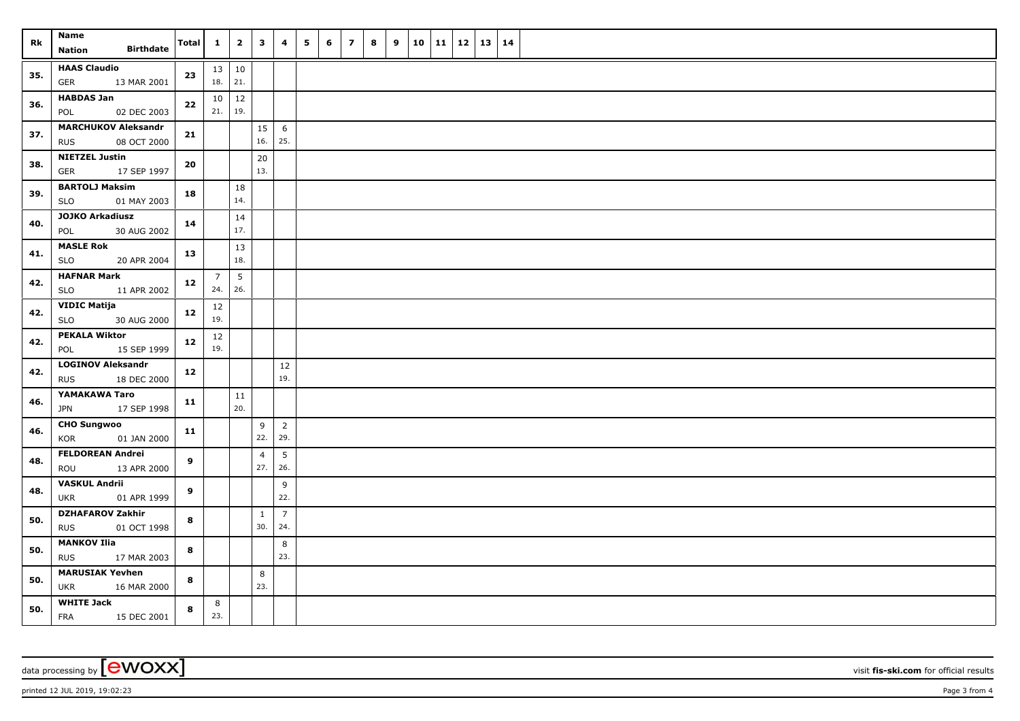| Rk  | Name                                                    | Total        | $\mathbf{1}$           | $\overline{2}$         | $\overline{\mathbf{3}}$ | $\overline{4}$        | 5 | 6 | $\overline{z}$ | 8 | 9 | 10 | $11 \mid 12$ | $13 \mid 14$ |  |
|-----|---------------------------------------------------------|--------------|------------------------|------------------------|-------------------------|-----------------------|---|---|----------------|---|---|----|--------------|--------------|--|
|     | <b>Birthdate</b><br><b>Nation</b>                       |              |                        |                        |                         |                       |   |   |                |   |   |    |              |              |  |
| 35. | <b>HAAS Claudio</b><br>13 MAR 2001<br><b>GER</b>        | 23           | 13 10<br>18.           | 21.                    |                         |                       |   |   |                |   |   |    |              |              |  |
| 36. | <b>HABDAS Jan</b><br>POL<br>02 DEC 2003                 | 22           | 10 <sup>1</sup><br>21. | 12<br>19.              |                         |                       |   |   |                |   |   |    |              |              |  |
| 37. | <b>MARCHUKOV Aleksandr</b><br>08 OCT 2000<br><b>RUS</b> | 21           |                        |                        | 15<br>16.               | 6<br>25.              |   |   |                |   |   |    |              |              |  |
| 38. | <b>NIETZEL Justin</b><br>17 SEP 1997<br>GER             | 20           |                        |                        | $20\,$<br>13.           |                       |   |   |                |   |   |    |              |              |  |
| 39. | <b>BARTOLJ Maksim</b><br><b>SLO</b><br>01 MAY 2003      | 18           |                        | 18<br>14.              |                         |                       |   |   |                |   |   |    |              |              |  |
| 40. | <b>JOJKO Arkadiusz</b><br>30 AUG 2002<br>POL            | 14           |                        | 14<br>17.              |                         |                       |   |   |                |   |   |    |              |              |  |
| 41. | <b>MASLE Rok</b><br>20 APR 2004<br>SLO                  | 13           |                        | 13<br>18.              |                         |                       |   |   |                |   |   |    |              |              |  |
| 42. | <b>HAFNAR Mark</b><br><b>SLO</b><br>11 APR 2002         | 12           | $\overline{7}$<br>24.  | $5\phantom{.0}$<br>26. |                         |                       |   |   |                |   |   |    |              |              |  |
| 42. | <b>VIDIC Matija</b><br><b>SLO</b><br>30 AUG 2000        | 12           | 12<br>19.              |                        |                         |                       |   |   |                |   |   |    |              |              |  |
| 42. | <b>PEKALA Wiktor</b><br>15 SEP 1999<br>POL              | 12           | 12<br>19.              |                        |                         |                       |   |   |                |   |   |    |              |              |  |
| 42. | LOGINOV Aleksandr<br>18 DEC 2000<br><b>RUS</b>          | 12           |                        |                        |                         | 12<br>19.             |   |   |                |   |   |    |              |              |  |
| 46. | YAMAKAWA Taro<br>17 SEP 1998<br><b>JPN</b>              | 11           |                        | 11<br>20.              |                         |                       |   |   |                |   |   |    |              |              |  |
| 46. | <b>CHO Sungwoo</b><br>01 JAN 2000<br>KOR                | 11           |                        |                        | 9<br>22.                | $\overline{2}$<br>29. |   |   |                |   |   |    |              |              |  |
| 48. | <b>FELDOREAN Andrei</b><br>ROU<br>13 APR 2000           | $\mathbf{9}$ |                        |                        | $\overline{4}$<br>27.   | 5<br>26.              |   |   |                |   |   |    |              |              |  |
| 48. | <b>VASKUL Andrii</b><br><b>UKR</b><br>01 APR 1999       | 9            |                        |                        |                         | 9<br>22.              |   |   |                |   |   |    |              |              |  |
| 50. | <b>DZHAFAROV Zakhir</b><br><b>RUS</b><br>01 OCT 1998    | 8            |                        |                        | $\mathbf{1}$<br>30.     | $\overline{7}$<br>24. |   |   |                |   |   |    |              |              |  |
| 50. | <b>MANKOV Ilia</b><br><b>RUS</b><br>17 MAR 2003         | 8            |                        |                        |                         | 8<br>23.              |   |   |                |   |   |    |              |              |  |
| 50. | <b>MARUSIAK Yevhen</b><br><b>UKR</b><br>16 MAR 2000     | 8            |                        |                        | 8<br>23.                |                       |   |   |                |   |   |    |              |              |  |
| 50. | <b>WHITE Jack</b><br><b>FRA</b><br>15 DEC 2001          | 8            | 8<br>23.               |                        |                         |                       |   |   |                |   |   |    |              |              |  |

data processing by **CWOXX** visit **fis-ski.com** for official results